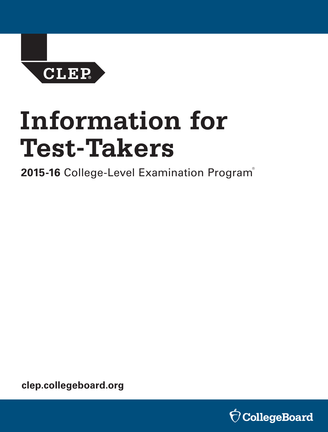**CLEP** 

# **Information for Test-Takers**

**2015-16** College-Level Examination Program ®

**[clep.collegeboard.org](http://clep.collegeboard.org)** 

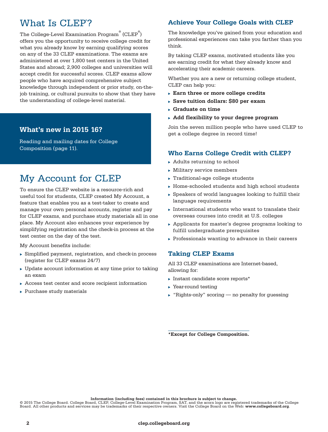# What Is CLEP<sup>®</sup>?

The College-Level Examination Program $^\circ$  (CLEP $^\circ$ ) offers you the opportunity to receive college credit for what you already know by earning qualifying scores on any of the 33 CLEP examinations. The exams are administered at over 1,800 test centers in the United States and abroad; 2,900 colleges and universities will accept credit for successful scores. CLEP exams allow people who have acquired comprehensive subject knowledge through independent or prior study, on-thejob training, or cultural pursuits to show that they have the understanding of college-level material.

## **- What's new in 2015 16?**

Reading and mailing dates for College Composition (page 11).

# My Account for CLEP

To ensure the CLEP website is a resource-rich and useful tool for students, CLEP created My Account, a feature that enables you as a test-taker to create and manage your own personal accounts, register and pay for CLEP exams, and purchase study materials all in one place. My Account also enhances your experience by simplifying registration and the check-in process at the test center on the day of the test.

My Account benefits include:

- $\triangleright$  Simplified payment, registration, and check-in process (register for CLEP exams 24/7)
- $\blacktriangleright$  Update account information at any time prior to taking an exam
- $\triangleright$  Access test center and score recipient information
- $\blacktriangleright$  Purchase study materials

## **Achieve Your College Goals with CLEP**

The knowledge you've gained from your education and professional experiences can take you farther than you think.

By taking CLEP exams, motivated students like you are earning credit for what they already know and accelerating their academic careers.

Whether you are a new or returning college student, CLEP can help you:

- **Earn three or more college credits**
- Save tuition dollars: \$80 per exam
- <sup>u</sup> **Graduate on time**
- **► Add flexibility to your degree program**

Join the seven million people who have used CLEP to get a college degree in record time!

## **Who Earns College Credit with CLEP?**

- $\blacktriangleright$  Adults returning to school
- $\blacktriangleright$  Military service members
- $\blacktriangleright$  Traditional-age college students
- $\blacktriangleright$  Home-schooled students and high school students
- $\triangleright$  Speakers of world languages looking to fulfill their language requirements
- International students who want to translate their overseas courses into credit at U.S. colleges
- $\blacktriangleright$  Applicants for master's degree programs looking to fulfill undergraduate prerequisites
- $\triangleright$  Professionals wanting to advance in their careers

## **Taking CLEP Exams**

All 33 CLEP examinations are Internet-based, allowing for:

- Instant candidate score reports $*$
- $\blacktriangleright$  Year-round testing
- $\blacktriangleright$  "Rights-only" scoring no penalty for guessing

**\*Except for College Composition.**

**Information (including fees) contained in this brochure is subject to change.** 

**Information (including fees) contained in this brochure is subject to change.**<br>© 2015 The College Board. College Board, CLEP, College-Level Examination Program, SAT, and the acorn logo are registered trademarks of the Col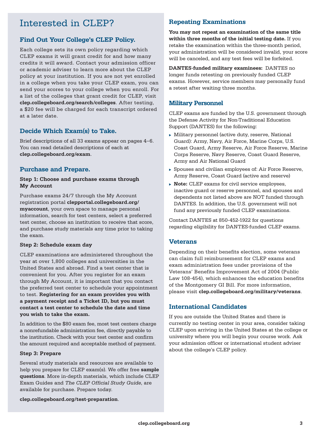# Interested in CLEP?

## **Find Out Your College's CLEP Policy.**

Each college sets its own policy regarding which CLEP exams it will grant credit for and how many credits it will award. Contact your admission officer or academic adviser to learn more about the CLEP policy at your institution. If you are not yet enrolled in a college when you take your CLEP exam, you can send your scores to your college when you enroll. For a list of the colleges that grant credit for CLEP, visit **[clep.collegeboard.org/search/colleges](http://clep.collegeboard.org/search/colleges)**. After testing, a \$20 fee will be charged for each transcript ordered at a later date.

## **Decide Which Exam(s) to Take.**

Brief descriptions of all 33 exams appear on pages 4–6. You can read detailed descriptions of each at **[clep.collegeboard.org/exam](http://clep.collegeboard.org/exam)**.

## **Purchase and Prepare.**

#### **Step 1: Choose and purchase exams through My Account**

Purchase exams 24/7 through the My Account registration portal **[clepportal.collegeboard.org/](http://clepportal.collegeboard.org/myaccount) [myaccount](http://clepportal.collegeboard.org/myaccount)**, your own space to manage personal information, search for test centers, select a preferred test center, choose an institution to receive that score, and purchase study materials any time prior to taking the exam.

#### **Step 2: Schedule exam day**

CLEP examinations are administered throughout the year at over 1,800 colleges and universities in the United States and abroad. Find a test center that is convenient for you. After you register for an exam through My Account, it is important that you contact the preferred test center to schedule your appointment to test. **Registering for an exam provides you with a payment receipt and a Ticket ID, but you must contact a test center to schedule the date and time you wish to take the exam.** 

In addition to the \$80 exam fee, most test centers charge a nonrefundable administration fee, directly payable to the institution. Check with your test center and confirm the amount required and acceptable method of payment.

#### **Step 3: Prepare**

Several study materials and resources are available to help you prepare for CLEP exam(s). We offer free **[sample](http://clep.collegeboard.org/test-samples)  [questions](http://clep.collegeboard.org/test-samples)**. More in-depth materials, which include CLEP Exam Guides and *The CLEP Official Study Guide*, are available for purchase. Prepare today.

## **Repeating Examinations**

 **within three months of the initial testing date.** If you **You may not repeat an examination of the same title**  retake the examination within the three-month period, your administration will be considered invalid, your score will be canceled, and any test fees will be forfeited.

**DANTES-funded military examinees:** DANTES no longer funds retesting on previously funded CLEP exams. However, service members may personally fund a retest after waiting three months.

## **Military Personnel**

CLEP exams are funded by the U.S. government through the Defense Activity for Non-Traditional Education Support (DANTES) for the following:

- $\triangleright$  Military personnel (active duty, reserve, National Guard): Army, Navy, Air Force, Marine Corps, U.S. Coast Guard, Army Reserve, Air Force Reserve, Marine Corps Reserve, Navy Reserve, Coast Guard Reserve, Army and Air National Guard
- $\triangleright$  Spouses and civilian employees of: Air Force Reserve, Army Reserve, Coast Guard (active and reserve)
- ▶ **Note:** CLEP exams for civil service employees, inactive guard or reserve personnel, and spouses and dependents not listed above are NOT funded through DANTES. In addition, the U.S. government will not fund any previously funded CLEP examinations.

Contact DANTES at 850-452-1922 for questions regarding eligibility for DANTES-funded CLEP exams.

## **Veterans**

Depending on their benefits election, some veterans can claim full reimbursement for CLEP exams and exam administration fees under provisions of the Veterans' Benefits Improvement Act of 2004 (Public Law 108-454), which enhances the education benefits of the Montgomery GI Bill. For more information, please visit **[clep.collegeboard.org/military/veterans](http://clep.collegeboard.org/military/veterans)**.

## **International Candidates**

If you are outside the United States and there is currently no testing center in your area, consider taking CLEP upon arriving in the United States at the college or university where you will begin your course work. Ask your admission officer or international student adviser about the college's CLEP policy.

**[clep.collegeboard.org/test-preparation](http://clep.collegeboard.org/test-preparation)**.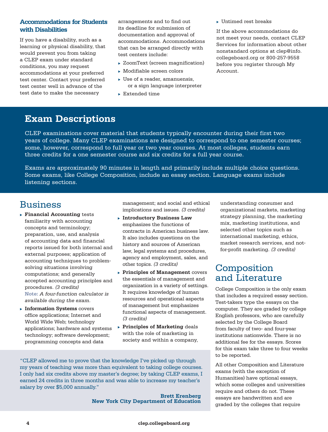## **Accommodations for Students with Disabilities**

If you have a disability, such as a learning or physical disability, that would prevent you from taking a CLEP exam under standard conditions, you may request accommodations at your preferred test center. Contact your preferred test center well in advance of the test date to make the necessary

arrangements and to find out its deadline for submission of documentation and approval of accommodations. Accommodations that can be arranged directly with test centers include:

- $\triangleright$  ZoomText (screen magnification)
- $\blacktriangleright$  Modifiable screen colors
- $\triangleright$  Use of a reader, amanuensis, or a sign language interpreter
- $\blacktriangleright$  Extended time

 $\blacktriangleright$  Untimed rest breaks

If the above accommodations do not meet your needs, contact CLEP Services for information about other nonstandard options at [clep@info.](mailto:clep@info.collegeboard.org)  [collegeboard.org](mailto:clep@info.collegeboard.org) or 800-257-9558 before you register through My Account.

# **Exam Descriptions**

- years of college. Many CLEP examinations are designed to correspond to one semester courses; some, however, correspond to full year or two year courses. At most colleges, students earn three credits for a one semester course and six credits for a full year course. CLEP examinations cover material that students typically encounter during their first two

- Exams are approximately 90 minutes in length and primarily include multiple choice questions. Some exams, like College Composition, include an essay section. Language exams include listening sections.

# Business

- **Financial Accounting tests** familiarity with accounting concepts and terminology; preparation, use, and analysis of accounting data and financial reports issued for both internal and external purposes; application of accounting techniques to problemsolving situations involving computations; and generally accepted accounting principles and procedures. *(3 credits)*  **Note:** *A four-function calculator is available during the exam.*
- **Information Systems** covers office applications; Internet and World Wide Web; technology applications; hardware and systems technology; software development; programming concepts and data

management; and social and ethical implications and issues. *(3 credits)* 

- **Finductory Business Law** emphasizes the functions of contracts in American business law. It also includes questions on the history and sources of American law, legal systems and procedures, agency and employment, sales, and other topics. *(3 credits)*
- *(3 credits)*  organization in a variety of settings. **Principles of Management** covers the essentials of management and It requires knowledge of human resources and operational aspects of management but emphasizes functional aspects of management.
- with the role of marketing in society and within a company, **Principles of Marketing deals**

"CLEP allowed me to prove that the knowledge I've picked up through my years of teaching was more than equivalent to taking college courses. I only had six credits above my master's degree; by taking CLEP exams, I earned 24 credits in three months and was able to increase my teacher's salary by over \$5,000 annually."

> **Brett Erenberg New York City Department of Education**

 organizational markets, marketing strategy planning, the marketing understanding consumer and mix, marketing institutions, and selected other topics such as international marketing, ethics, market research services, and notfor-profit marketing. *(3 credits)*

# Composition and Literature

College Composition is the only exam that includes a required essay section. Test-takers type the essays on the computer. They are graded by college English professors, who are carefully selected by the College Board from faculty of two- and four-year institutions nationwide. There is no additional fee for the essays. Scores for this exam take three to four weeks to be reported.

All other Composition and Literature exams (with the exception of Humanities) have optional essays, which some colleges and universities require and others do not. These essays are handwritten and are graded by the colleges that require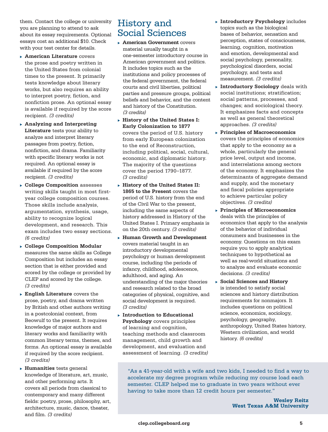them. Contact the college or university you are planning to attend to ask about its essay requirements. Optional essays cost an additional \$10. Check with your test center for details.

- **American Literature** covers the prose and poetry written in the United States from colonial times to the present. It primarily tests knowledge about literary works, but also requires an ability to interpret poetry, fiction, and nonfiction prose. An optional essay is available if required by the score recipient. *(3 credits)*
- nonfiction, and drama. Familiarity **Literature** tests your ability to analyze and interpret literary passages from poetry, fiction, with specific literary works is not required. An optional essay is available if required by the score recipient. *(3 credits)*  <sup>u</sup> **Analyzing and Interpreting**
- <sup>u</sup> **College Composition** assesses writing skills taught in most firstyear college composition courses. Those skills include analysis, argumentation, synthesis, usage, ability to recognize logical development, and research. This exam includes two essay sections. *(6 credits)*
- <sup>u</sup> **College Composition Modular**  measures the same skills as College Composition but includes an essay section that is either provided and scored by the college or provided by CLEP and scored by the college. *(3 credits)*
- <sup>u</sup> **English Literature** covers the prose, poetry, and drama written by British and other authors writing in a postcolonial context, from Beowulf to the present. It requires knowledge of major authors and literary works and familiarity with common literary terms, themes, and forms. An optional essay is available if required by the score recipient. *(3 credits)*
- knowledge of literature, art, music, and other performing arts. It covers all periods from classical to contemporary and many different fields: poetry, prose, philosophy, art, architecture, music, dance, theater, and film. *(3 credits)*  **Fumanities** tests general

# History and Social Sciences

- **American Government** covers material usually taught in a one-semester introductory course in American government and politics. It includes topics such as the institutions and policy processes of the federal government, the federal courts and civil liberties, political parties and pressure groups, political beliefs and behavior, and the content and history of the Constitution. *(3 credits)*
- **Early Colonization to 1877 History of the United States I:** covers the period of U.S. history from early European colonization to the end of Reconstruction, including political, social, cultural, economic, and diplomatic history. The majority of the questions cover the period 1790–1877. *(3 credits)*
- **1865 to the Present** covers the period of U.S. history from the end of the Civil War to the present, including the same aspects of history addressed in History of the United States I. Primary emphasis is on the 20th century. *(3 credits)*  **History of the United States II:**
- <sup>u</sup> **Human Growth and Development**  covers material taught in an introductory developmental psychology or human development course, including the periods of infancy, childhood, adolescence, adulthood, and aging. An understanding of the major theories and research related to the broad categories of physical, cognitive, and social development is required. *(3 credits)*
- **Fig. 1** Introduction to Educational **Psychology** covers principles of learning and cognition, teaching methods and classroom management, child growth and development, and evaluation and assessment of learning. *(3 credits)*
- **Introductory Psychology** includes topics such as the biological bases of behavior, sensation and perception, states of consciousness, learning, cognition, motivation and emotion, developmental and social psychology, personality, psychological disorders, social psychology, and tests and measurement. *(3 credits)*
- approaches. *(3 credits)*  **Introductory Sociology** deals with social institutions; stratification; social patterns, processes, and changes; and sociological theory. It emphasizes facts and concepts as well as general theoretical
- <sup>u</sup> **Principles of Macroeconomics**  covers the principles of economics that apply to the economy as a whole, particularly the general price level, output and income, and interrelations among sectors of the economy. It emphasizes the determinants of aggregate demand and supply, and the monetary and fiscal policies appropriate to achieve particular policy objectives. *(3 credits)*
- <sup>u</sup> **Principles of Microeconomics**  deals with the principles of economics that apply to the analysis of the behavior of individual consumers and businesses in the economy. Questions on this exam require you to apply analytical techniques to hypothetical as well as real-world situations and to analyze and evaluate economic decisions. *(3 credits)*
- <sup>u</sup> **Social Sciences and History** is intended to satisfy social sciences and history distribution requirements for nonmajors. It includes questions on political science, economics, sociology, psychology, geography, anthropology, United States history, Western civilization, and world history. *(6 credits)*

"As a 41-year-old with a wife and two kids, I needed to find a way to accelerate my degree program while reducing my course load each semester. CLEP helped me to graduate in two years without ever having to take more than 12 credit hours per semester."

> **Wesley Reitz West Texas A&M University**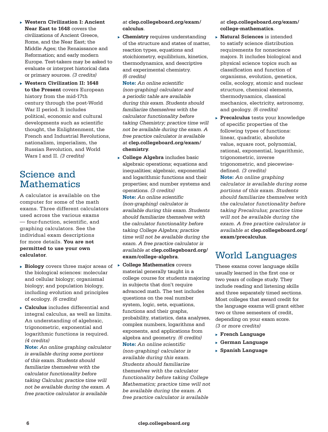- **Near East to 1648** covers the <sup>u</sup> **Western Civilization I: Ancient**  civilizations of Ancient Greece, Rome, and the Near East; the Middle Ages; the Renaissance and Reformation; and early modern Europe. Test-takers may be asked to evaluate or interpret historical data or primary sources. *(3 credits)*
- ▶ Western Civilization II: 1648 **to the Present** covers European history from the mid-17th century through the post-World War II period. It includes political, economic and cultural developments such as scientific thought, the Enlightenment, the French and Industrial Revolutions, nationalism, imperialism, the Russian Revolution, and World Wars I and II. *(3 credits)*

# Science and Mathematics

A calculator is available on the computer for some of the math exams. Three different calculators used across the various exams — four-function, scientific, and graphing calculators. See the individual exam descriptions for more details. **You are not permitted to use your own calculator**.

- $\triangleright$  **Biology** covers three major areas of  $\triangleright$ the biological sciences: molecular and cellular biology; organismal biology; and population biology, including evolution and principles of ecology. *(6 credits)*
- $\blacktriangleright$  Calculus includes differential and integral calculus, as well as limits. An understanding of algebraic, trigonometric, exponential and logarithmic functions is required. *(4 credits)*

**Note:** *An online graphing calculator is available during some portions of this exam. Students should familiarize themselves with the calculator functionality before taking Calculus; practice time will not be available during the exam. A free practice calculator is available* 

#### *at* **[clep.collegeboard.org/exam/](http://clep.collegeboard.org/exam/calculus)  [calculus](http://clep.collegeboard.org/exam/calculus)**.

**Chemistry** requires understanding of the structure and states of matter, reaction types, equations and stoichiometry, equilibrium, kinetics, thermodynamics, and descriptive and experimental chemistry. *(6 credits)* 

**Note:** *An online scientific (non-graphing) calculator and a periodic table are available during this exam. Students should familiarize themselves with the calculator functionality before taking Chemistry; practice time will not be available during the exam. A free practice calculator is available at* **[clep.collegeboard.org/exam/](https://clep.collegeboard.org/exam/chemistry)  [chemistry](https://clep.collegeboard.org/exam/chemistry)**.

- **College Algebra** includes basic algebraic operations; equations and inequalities; algebraic, exponential and logarithmic functions and their properties; and number systems and operations. *(3 credits)*  **Note:** *An online scientific (non-graphing) calculator is available during this exam. Students should familiarize themselves with the calculator functionality before taking College Algebra; practice time will not be available during the exam. A free practice calculator is available at* **[clep.collegeboard.org/](http://clep.collegeboard.org/exam/college-algebra)  [exam/college-algebra](http://clep.collegeboard.org/exam/college-algebra)**.
- **College Mathematics covers** material generally taught in a college course for students majoring in subjects that don't require advanced math. The test includes questions on the real number system, logic, sets, equations, functions and their graphs, probability, statistics, data analyses, complex numbers, logarithms and exponents, and applications from algebra and geometry. *(6 credits)*  **Note:** *An online scientific (non-graphing) calculator is available during this exam. Students should familiarize themselves with the calculator functionality before taking College Mathematics; practice time will not be available during the exam. A free practice calculator is available*

#### *at* **[clep.collegeboard.org/exam/](http://clep.collegeboard.org/exam/college-mathematics)  [college-mathematics](http://clep.collegeboard.org/exam/college-mathematics)**.

- **Natural Sciences** is intended to satisfy science distribution requirements for nonscience majors. It includes biological and physical science topics such as classification and function of organisms, evolution, genetics, cells, ecology, atomic and nuclear structure, chemical elements, thermodynamics, classical mechanics, electricity, astronomy, and geology. *(6 credits)*
- **Precalculus** tests your knowledge of specific properties of the following types of functions: linear, quadratic, absolute value, square root, polynomial, rational, exponential, logarithmic, trigonometric, inverse trigonometric, and piecewisedefined. *(3 credits)*  **Note:** *An online graphing calculator is available during some*

*portions of this exam. Students should familiarize themselves with the calculator functionality before taking Precalculus; practice time will not be available during the exam. A free practice calculator is available at* **[clep.collegeboard.org/](https://clep.collegeboard.org/exam/precalculus)  [exam/precalculus](https://clep.collegeboard.org/exam/precalculus)**.

# World Languages

These exams cover language skills usually learned in the first one or two years of college study. They include reading and listening skills and three separately timed sections. Most colleges that award credit for the language exams will grant either two or three semesters of credit, depending on your exam score. *(3 or more credits)* 

- **French Language**
- <sup>u</sup> **German Language**
- <sup>u</sup> **Spanish Language**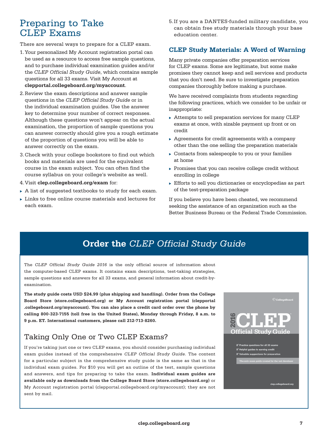# Preparing to Take CLEP Exams

There are several ways to prepare for a CLEP exam.

- 1. Your personalized My Account registration portal can be used as a resource to access free sample questions, and to purchase individual examination guides and/or the *CLEP Official Study Guide*, which contains sample questions for all 33 exams. Visit My Account at **[clepportal.collegeboard.org/myaccount](https://clepportal.collegeboard.org/myaccount)**.
- 2.Review the exam descriptions and answer sample questions in the *CLEP Official Study Guide* or in the individual examination guides. Use the answer key to determine your number of correct responses. Although these questions won't appear on the actual examination, the proportion of sample questions you can answer correctly should give you a rough estimate of the proportion of questions you will be able to answer correctly on the exam.
- 3.Check with your college bookstore to find out which books and materials are used for the equivalent course in the exam subject. You can often find the course syllabus on your college's website as well.
- 4.Visit **[clep.collegeboard.org/exam](http://clep.collegeboard.org/exam)** for:
- $\triangleright$  A list of suggested textbooks to study for each exam.
- $\triangleright$  Links to free online course materials and lectures for each exam.

5.If you are a DANTES-funded military candidate, you can obtain free study materials through your base education center.

## **CLEP Study Materials: A Word of Warning**

Many private companies offer preparation services for CLEP exams. Some are legitimate, but some make promises they cannot keep and sell services and products that you don't need. Be sure to investigate preparation companies thoroughly before making a purchase.

We have received complaints from students regarding the following practices, which we consider to be unfair or inappropriate:

- $\triangleright$  Attempts to sell preparation services for many CLEP exams at once, with sizable payment up front or on credit
- $\rightarrow$  Agreements for credit agreements with a company other than the one selling the preparation materials
- $\triangleright$  Contacts from salespeople to you or your families at home
- $\triangleright$  Promises that you can receive college credit without enrolling in college
- $\triangleright$  Efforts to sell you dictionaries or encyclopedias as part of the test-preparation package

If you believe you have been cheated, we recommend seeking the assistance of an organization such as the Better Business Bureau or the Federal Trade Commission.

# **Order the** *CLEP Official Study Guide*

The *CLEP Official Study Guide 2016* is the only official source of information about the computer-based CLEP exams. It contains exam descriptions, test-taking strategies, sample questions and answers for all 33 exams, and general information about credit-byexamination.

 **Board Store [\(store.collegeboard.org\)](https://store.collegeboard.org) or My Account registration portal [\(clepportal](https://clepportal.collegeboard.org/myaccount) The study guide costs USD \$24.99 (plus shipping and handling). Order from the College [.collegeboard.org/myaccount\)](https://clepportal.collegeboard.org/myaccount). You can also place a credit card order over the phone by calling 800-323-7155 (toll free in the United States), Monday through Friday, 8 a.m. to 9 p.m. ET. International customers, please call 212-713-8260.** 

# Taking Only One or Two CLEP Exams?

 individual exam guides. For \$10 you will get an outline of the test, sample questions If you're taking just one or two CLEP exams, you should consider purchasing individual exam guides instead of the comprehensive *CLEP Official Study Guide*. The content for a particular subject in the comprehensive study guide is the same as that in the and answers, and tips for preparing to take the exam. **Individual exam guides are available only as downloads from the College Board Store ([store.collegeboard.org](https://store.collegeboard.org))** or My Account registration portal ([clepportal.collegeboard.org/myaccount\)](https://clepportal.collegeboard.org/myaccount); they are not sent by mail.



⊠' Practice questions for all 33 exam: Y Helpful guides to earning credit ns for pres

clep.collegeboard.org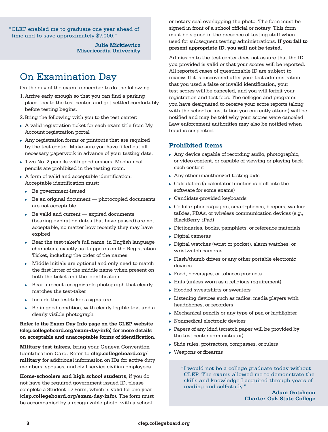"CLEP enabled me to graduate one year ahead of time and to save approximately \$7,000."

> **Julie Mickiewicz Misericordia University**

# On Examination Day

On the day of the exam, remember to do the following.

- 1. Arrive early enough so that you can find a parking place, locate the test center, and get settled comfortably before testing begins.
- 2.Bring the following with you to the test center:
- $\triangleright$  A valid registration ticket for each exam title from My Account registration portal
- $\blacktriangleright$  Any registration forms or printouts that are required by the test center. Make sure you have filled out all necessary paperwork in advance of your testing date.
- $\triangleright$  Two No. 2 pencils with good erasers. Mechanical pencils are prohibited in the testing room.
- $\triangleright$  A form of valid and acceptable identification. Acceptable identification must:
	- Be government-issued
	- $\triangleright$  Be an original document photocopied documents are not acceptable
	- $\triangleright$  Be valid and current expired documents (bearing expiration dates that have passed) are not acceptable, no matter how recently they may have expired
	- $\triangleright$  Bear the test-taker's full name, in English language characters, exactly as it appears on the Registration Ticket, including the order of the names
	- $\triangleright$  Middle initials are optional and only need to match the first letter of the middle name when present on both the ticket and the identification
	- $\triangleright$  Bear a recent recognizable photograph that clearly matches the test-taker
	- Include the test-taker's signature
	- $\triangleright$  Be in good condition, with clearly legible text and a clearly visible photograph

#### **Refer to the Exam Day Info page on the CLEP website [\(clep.collegeboard.org/exam-day-info\)](https://clep.collegeboard.org/exam-day-info) for more details on acceptable and unacceptable forms of identification.**

**Military test-takers**, bring your Geneva Convention Identification Card. Refer to **[clep.collegeboard.org/](http://clep.collegeboard.org/military)  [military](http://clep.collegeboard.org/military)** for additional information on IDs for active duty members, spouses, and civil service civilian employees.

**Home-schoolers and high school students**, if you do not have the required government-issued ID, please complete a Student ID Form, which is valid for one year (**[clep.collegeboard.org/exam-day-info](https://clep.collegeboard.org/exam-day-info)**). The form must be accompanied by a recognizable photo, with a school

or notary seal overlapping the photo. The form must be signed in front of a school official or notary. This form must be signed in the presence of testing staff when used for subsequent testing administrations. **If you fail to present appropriate ID, you will not be tested.** 

Admission to the test center does not assure that the ID you provided is valid or that your scores will be reported. All reported cases of questionable ID are subject to review. If it is discovered after your test administration that you used a false or invalid identification, your test scores will be canceled, and you will forfeit your registration and test fees. The colleges and programs you have designated to receive your score reports (along with the school or institution you currently attend) will be notified and may be told why your scores were canceled. Law enforcement authorities may also be notified when fraud is suspected.

## **Prohibited Items**

- $\triangleright$  Any device capable of recording audio, photographic, or video content, or capable of viewing or playing back such content
- $\triangleright$  Any other unauthorized testing aids
- $\triangleright$  Calculators (a calculator function is built into the software for some exams)
- $\blacktriangleright$  Candidate-provided keyboards
- $\blacktriangleright$  Cellular phones/pagers, smart-phones, beepers, walkietalkies, PDAs, or wireless communication devices (e.g., BlackBerry, iPad)
- $\triangleright$  Dictionaries, books, pamphlets, or reference materials
- $\triangleright$  Digital cameras
- $\triangleright$  Digital watches (wrist or pocket), alarm watches, or wristwatch cameras
- $\blacktriangleright$  Flash/thumb drives or any other portable electronic devices
- $\blacktriangleright$  Food, beverages, or tobacco products
- $\triangleright$  Hats (unless worn as a religious requirement)
- $\blacktriangleright$  Hooded sweatshirts or sweaters
- $\triangleright$  Listening devices such as radios, media players with headphones, or recorders
- $\blacktriangleright$  Mechanical pencils or any type of pen or highlighter
- $\blacktriangleright$  Nonmedical electronic devices
- $\triangleright$  Papers of any kind (scratch paper will be provided by the test center administrator)
- $\triangleright$  Slide rules, protractors, compasses, or rulers
- $\triangleright$  Weapons or firearms

"I would not be a college graduate today without CLEP. The exams allowed me to demonstrate the skills and knowledge I acquired through years of reading and self-study."

> **Adam Gutcheon Charter Oak State College**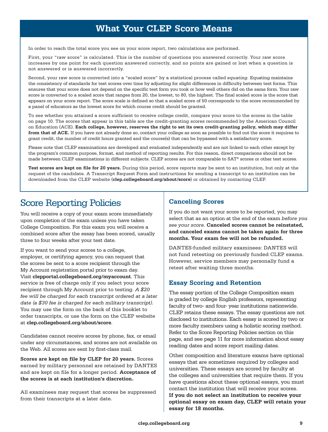# **What Your CLEP Score Means**

In order to reach the total score you see on your score report, two calculations are performed.

First, your "raw score" is calculated. This is the number of questions you answered correctly. Your raw score increases by one point for each question answered correctly, and no points are gained or lost when a question is not answered or is answered incorrectly.

Second, your raw score is converted into a "scaled score" by a statistical process called *equating*. Equating maintains the consistency of standards for test scores over time by adjusting for slight differences in difficulty between test forms. This ensures that your score does not depend on the specific test form you took or how well others did on the same form. Your raw score is converted to a scaled score that ranges from 20, the lowest, to 80, the highest. The final scaled score is the score that appears on your score report. The score scale is defined so that a scaled score of 50 corresponds to the score recommended by a panel of educators as the lowest score for which course credit should be granted.

To see whether you attained a score sufficient to receive college credit, compare your score to the scores in the table on page 10. The scores that appear in this table are the credit-granting scores recommended by the American Council on Education (ACE). **Each college, however, reserves the right to set its own credit-granting policy, which may differ from that of ACE.** If you have not already done so, contact your college as soon as possible to find out the score it requires to grant credit, the number of credit hours granted and the course(s) that can be bypassed with a satisfactory score.

Please note that CLEP examinations are developed and evaluated independently and are not linked to each other except by the program's common purpose, format, and method of reporting results. For this reason, direct comparisons should not be made between CLEP examinations in different subjects. CLEP scores are not comparable to SAT® scores or other test scores.

**Test scores are kept on file for 20 years.** During this period, score reports may be sent to an institution, but only at the request of the candidate. A Transcript Request Form and instructions for sending a transcript to an institution can be downloaded from the CLEP website (**[clep.collegeboard.org/about/score](http://clep.collegeboard.org/about/score)**) or obtained by contacting CLEP.

# Score Reporting Policies

You will receive a copy of your exam score immediately upon completion of the exam unless you have taken College Composition. For this exam you will receive a combined score after the essay has been scored, usually three to four weeks after your test date.

If you want to send your scores to a college, employer, or certifying agency, you can request that the scores be sent to a score recipient through the My Account registration portal prior to exam day. Visit **[clepportal.collegeboard.org/myaccount](https://clepportal.collegeboard.org/myaccount)**. This service is free of charge only if you select your score recipient through My Account prior to testing. *A \$20 fee will be charged for each transcript ordered at a later date (a \$30 fee is charged for each military transcript).*  You may use the form on the back of this booklet to order transcripts, or use the form on the CLEP website at **[clep.collegeboard.org/about/score](http://clep.collegeboard.org/about/score)**.

Candidates cannot receive scores by phone, fax, or email under any circumstances, and scores are not available on the Web. All scores are sent by first-class mail.

**Scores are kept on file by CLEP for 20 years.** Scores earned by military personnel are retained by DANTES and are kept on file for a longer period. **Acceptance of the scores is at each institution's discretion.** 

All examinees may request that scores be suppressed from their transcripts at a later date.

## **Canceling Scores**

If you do not want your score to be reported, you may select that as an option at the end of the exam *before you see your score.* **Canceled scores cannot be reinstated, and canceled exams cannot be taken again for three months. Your exam fee will not be refunded.** 

DANTES-funded military examinees: DANTES will not fund retesting on previously funded CLEP exams. However, service members may personally fund a retest after waiting three months.

## **Essay Scoring and Retention**

The essay portion of the College Composition exam is graded by college English professors, representing faculty of two- and four- year institutions nationwide. CLEP retains these essays. The essay questions are not disclosed to institutions. Each essay is scored by two or more faculty members using a holistic scoring method. Refer to the Score Reporting Policies section on this page, and see page 11 for more information about essay reading dates and score report mailing dates.

Other composition and literature exams have optional essays that are sometimes required by colleges and universities. These essays are scored by faculty at the colleges and universities that require them. If you have questions about these optional essays, you must contact the institution that will receive your scores. **If you do not select an institution to receive your optional essay on exam day, CLEP will retain your essay for 18 months.**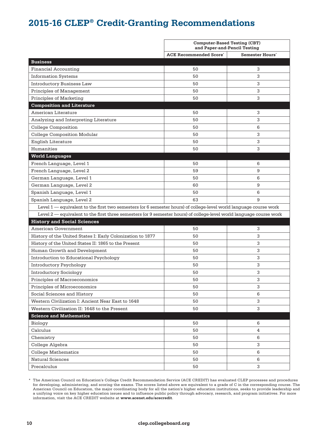# **2015-16 CLEP® Credit-Granting Recommendations**

|                                                                                                                     | <b>Computer-Based Testing (CBT)</b><br>and Paper-and-Pencil Testing |                        |
|---------------------------------------------------------------------------------------------------------------------|---------------------------------------------------------------------|------------------------|
|                                                                                                                     | <b>ACE Recommended Score</b> '                                      | <b>Semester Hours'</b> |
| <b>Business</b>                                                                                                     |                                                                     |                        |
| <b>Financial Accounting</b>                                                                                         | 50                                                                  | 3                      |
| <b>Information Systems</b>                                                                                          | 50                                                                  | 3                      |
| <b>Introductory Business Law</b>                                                                                    | 50                                                                  | 3                      |
| Principles of Management                                                                                            | 50                                                                  | 3                      |
| Principles of Marketing                                                                                             | 50                                                                  | 3                      |
| <b>Composition and Literature</b>                                                                                   |                                                                     |                        |
| American Literature                                                                                                 | 50                                                                  | 3                      |
| Analyzing and Interpreting Literature                                                                               | 50                                                                  | 3                      |
| <b>College Composition</b>                                                                                          | 50                                                                  | 6                      |
| <b>College Composition Modular</b>                                                                                  | 50                                                                  | 3                      |
| <b>English Literature</b>                                                                                           | 50                                                                  | 3                      |
| Humanities                                                                                                          | 50                                                                  | 3                      |
| <b>World Languages</b>                                                                                              |                                                                     |                        |
| French Language, Level 1                                                                                            | 50                                                                  | 6                      |
| French Language, Level 2                                                                                            | 59                                                                  | 9                      |
| German Language, Level 1                                                                                            | 50                                                                  | 6                      |
| German Language, Level 2                                                                                            | 60                                                                  | 9                      |
| Spanish Language, Level 1                                                                                           | 50                                                                  | 6                      |
| Spanish Language, Level 2                                                                                           | 63                                                                  | 9                      |
| Level 1 — equivalent to the first two semesters (or 6 semester hours) of college-level world language course work   |                                                                     |                        |
| Level 2 — equivalent to the first three semesters (or 9 semester hours) of college-level world language course work |                                                                     |                        |
| <b>History and Social Sciences</b>                                                                                  |                                                                     |                        |
| American Government                                                                                                 | 50                                                                  | 3                      |
| History of the United States I: Early Colonization to 1877                                                          | 50                                                                  | 3                      |
| History of the United States II: 1865 to the Present                                                                | 50                                                                  | 3                      |
| Human Growth and Development                                                                                        | 50                                                                  | 3                      |
| Introduction to Educational Psychology                                                                              | 50                                                                  | 3                      |
| <b>Introductory Psychology</b>                                                                                      | 50                                                                  | 3                      |
| <b>Introductory Sociology</b>                                                                                       | 50                                                                  | 3                      |
| Principles of Macroeconomics                                                                                        | 50                                                                  | 3                      |
| Principles of Microeconomics                                                                                        | 50                                                                  | 3                      |
| Social Sciences and History                                                                                         | 50                                                                  | 6                      |
| Western Civilization I: Ancient Near East to 1648                                                                   | 50                                                                  | 3                      |
| Western Civilization II: 1648 to the Present                                                                        | 50                                                                  | 3                      |
| <b>Science and Mathematics</b>                                                                                      |                                                                     |                        |
| Biology                                                                                                             | 50                                                                  | 6                      |
| Calculus                                                                                                            | 50                                                                  | 4                      |
| Chemistry                                                                                                           | 50                                                                  | 6                      |
| College Algebra                                                                                                     | 50                                                                  | 3                      |
| <b>College Mathematics</b>                                                                                          | 50                                                                  | 6                      |
| <b>Natural Sciences</b>                                                                                             | 50                                                                  | 6                      |
| Precalculus                                                                                                         | 50                                                                  | 3                      |

<sup>\*</sup> The American Council on Education's College Credit Recommendation Service (ACE CREDIT) has evaluated CLEP processes and procedures for developing, administering, and scoring the exams. The scores listed above are equivalent to a grade of C in the corresponding course. The American Council on Education, the major coordinating body for all the nation's higher education institutions, seeks to provide leadership and a unifying voice on key higher education issues and to influence public policy through advocacy, research, and program initiatives. For more information, visit the ACE CREDIT website at **<www.acenet.edu/acecredit>**.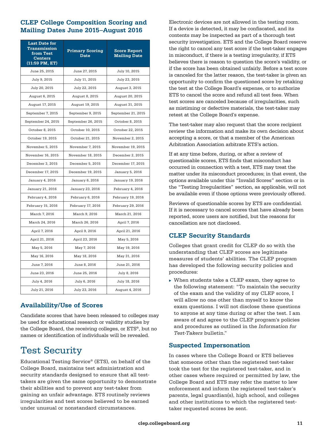## **CLEP College Composition Scoring and Mailing Dates June 2015–August 2016**

| <b>Last Date for</b><br>Transmission<br>from Test<br><b>Centers</b><br>$(11:59 \text{ PM}, \text{ET})$ | <b>Primary Scoring</b><br><b>Date</b> | <b>Score Report</b><br><b>Mailing Date</b> |
|--------------------------------------------------------------------------------------------------------|---------------------------------------|--------------------------------------------|
| June 25, 2015                                                                                          | June 27, 2015                         | July 10, 2015                              |
| July 9, 2015                                                                                           | July 11, 2015                         | July 23, 2015                              |
| July 20, 2015                                                                                          | July 22, 2015                         | August 3, 2015                             |
| August 6, 2015                                                                                         | August 8, 2015                        | August 20, 2015                            |
| August 17, 2015                                                                                        | August 19, 2015                       | August 31, 2015                            |
| September 7, 2015                                                                                      | September 9, 2015                     | September 21, 2015                         |
| September 24, 2015                                                                                     | September 26, 2015                    | October 8, 2015                            |
| October 8, 2015                                                                                        | October 10, 2015                      | October 22, 2015                           |
| October 19, 2015                                                                                       | October 21, 2015                      | November 2, 2015                           |
| November 5, 2015                                                                                       | November 7, 2015                      | November 19, 2015                          |
| November 16, 2015                                                                                      | November 18, 2015                     | December 2, 2015                           |
| December 3, 2015                                                                                       | December 5, 2015                      | December 17, 2015                          |
| December 17, 2015                                                                                      | December 19, 2015                     | January 5, 2016                            |
| January 4, 2016                                                                                        | January 6, 2016                       | January 19, 2016                           |
| January 21, 2016                                                                                       | January 23, 2016                      | February 4, 2016                           |
| February 4, 2016                                                                                       | February 6, 2016                      | February 19, 2016                          |
| February 15, 2016                                                                                      | February 17, 2016                     | February 29, 2016                          |
| March 7, 2016                                                                                          | March 9, 2016                         | March 21, 2016                             |
| March 24, 2016                                                                                         | March 26, 2016                        | April 7, 2016                              |
| April 7, 2016                                                                                          | April 9, 2016                         | April 21, 2016                             |
| April 21, 2016                                                                                         | April 23, 2016                        | May 5, 2016                                |
| May 5, 2016                                                                                            | May 7, 2016                           | May 19, 2016                               |
| May 16, 2016                                                                                           | May 18, 2016                          | May 31, 2016                               |
| June 7, 2016                                                                                           | June 8, 2016                          | June 21, 2016                              |
| June 23, 2016                                                                                          | June 25, 2016                         | July 8, 2016                               |
| July 4, 2016                                                                                           | July 6, 2016                          | July 18, 2016                              |
| July 21, 2016                                                                                          | July 23, 2016                         | August 4, 2016                             |

## **Availability/Use of Scores**

Candidate scores that have been released to colleges may be used for educational research or validity studies by the College Board, the receiving colleges, or ETS®, but no names or identification of individuals will be revealed.

# Test Security

Educational Testing Service® (ETS), on behalf of the College Board, maintains test administration and security standards designed to ensure that all testtakers are given the same opportunity to demonstrate their abilities and to prevent any test-taker from gaining an unfair advantage. ETS routinely reviews irregularities and test scores believed to be earned under unusual or nonstandard circumstances.

 the test at the College Board's expense, or to authorize Electronic devices are not allowed in the testing room. If a device is detected, it may be confiscated, and its contents may be inspected as part of a thorough test security investigation. ETS and the College Board reserve the right to cancel any test score if the test-taker engages in misconduct, if there is a testing irregularity, if ETS believes there is reason to question the score's validity, or if the score has been obtained unfairly. Before a test score is canceled for the latter reason, the test-taker is given an opportunity to confirm the questioned score by retaking ETS to cancel the score and refund all test fees. When test scores are canceled because of irregularities, such as mistiming or defective materials, the test-taker may retest at the College Board's expense.

The test-taker may also request that the score recipient review the information and make its own decision about accepting a score, or that a member of the American Arbitration Association arbitrate ETS's action.

If at any time before, during, or after a review of questionable scores, ETS finds that misconduct has occurred in connection with a test, ETS may treat the matter under its misconduct procedures; in that event, the options available under this "Invalid Scores" section or in the "Testing Irregularities" section, as applicable, will not be available even if those options were previously offered.

Reviews of questionable scores by ETS are confidential. If it is necessary to cancel scores that have already been reported, score users are notified, but the reasons for cancellation are not disclosed.

## **CLEP Security Standards**

Colleges that grant credit for CLEP do so with the understanding that CLEP scores are legitimate measures of students' abilities. The CLEP program has developed the following security policies and procedures:

 $\triangleright$  When students take a CLEP exam, they agree to the following statement: "To maintain the security of the exam and the validity of my CLEP score, I will allow no one other than myself to know the exam questions. I will not disclose these questions to anyone at any time during or after the test. I am aware of and agree to the CLEP program's policies and procedures as outlined in the *Information for Test-Takers* bulletin."

## **Suspected Impersonation**

In cases where the College Board or ETS believes that someone other than the registered test-taker took the test for the registered test-taker, and in other cases where required or permitted by law, the College Board and ETS may refer the matter to law enforcement and inform the registered test-taker's parents, legal guardian(s), high school, and colleges and other institutions to which the registered testtaker requested scores be sent.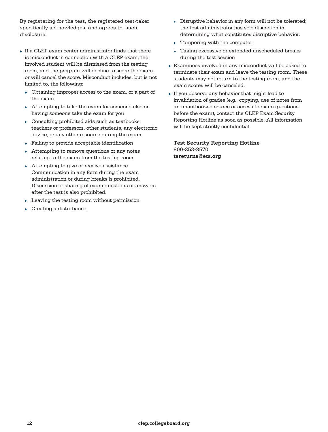By registering for the test, the registered test-taker specifically acknowledges, and agrees to, such disclosure.

- $\triangleright$  If a CLEP exam center administrator finds that there is misconduct in connection with a CLEP exam, the involved student will be dismissed from the testing room, and the program will decline to score the exam or will cancel the score. Misconduct includes, but is not limited to, the following:
	- $\triangleright$  Obtaining improper access to the exam, or a part of the exam
	- $\triangleright$  Attempting to take the exam for someone else or having someone take the exam for you
	- Consulting prohibited aids such as textbooks, teachers or professors, other students, any electronic device, or any other resource during the exam
	- $\blacktriangleright$  Failing to provide acceptable identification
	- $\triangleright$  Attempting to remove questions or any notes relating to the exam from the testing room
	- $\blacktriangleright$  Attempting to give or receive assistance. Communication in any form during the exam administration or during breaks is prohibited. Discussion or sharing of exam questions or answers after the test is also prohibited.
	- $\blacktriangleright$  Leaving the testing room without permission
	- Creating a disturbance
- $\triangleright$  Disruptive behavior in any form will not be tolerated; the test administrator has sole discretion in determining what constitutes disruptive behavior.
- $\blacktriangleright$  Tampering with the computer
- Taking excessive or extended unscheduled breaks during the test session
- $\triangleright$  Examinees involved in any misconduct will be asked to terminate their exam and leave the testing room. These students may not return to the testing room, and the exam scores will be canceled.
- $\triangleright$  If you observe any behavior that might lead to invalidation of grades (e.g., copying, use of notes from an unauthorized source or access to exam questions before the exam), contact the CLEP Exam Security Reporting Hotline as soon as possible. All information will be kept strictly confidential.

**Test Security Reporting Hotline**  800-353-8570 **[tsreturns@ets.org](mailto:tsreturns@ets.org)**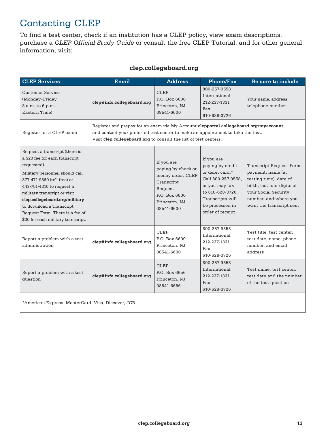# Contacting CLEP

To find a test center, check if an institution has a CLEP policy, view exam descriptions, purchase a *CLEP Official Study Guide* or consult the free CLEP Tutorial, and for other general information, visit:

| clep.collegeboard.org |  |
|-----------------------|--|
|-----------------------|--|

| <b>CLEP Services</b>                                                                                                                                                                                                                                                                                                                                 | <b>Email</b>                                                                                                                                                                                                                                | <b>Address</b>                                                                                                                 | Phone/Fax                                                                                                                                                                 | Be sure to include                                                                                                                                                                 |
|------------------------------------------------------------------------------------------------------------------------------------------------------------------------------------------------------------------------------------------------------------------------------------------------------------------------------------------------------|---------------------------------------------------------------------------------------------------------------------------------------------------------------------------------------------------------------------------------------------|--------------------------------------------------------------------------------------------------------------------------------|---------------------------------------------------------------------------------------------------------------------------------------------------------------------------|------------------------------------------------------------------------------------------------------------------------------------------------------------------------------------|
| <b>Customer Service</b><br>(Monday-Friday<br>8 a.m. to 6 p.m.<br>Eastern Time)                                                                                                                                                                                                                                                                       | clep@info.collegeboard.org                                                                                                                                                                                                                  | <b>CLEP</b><br>P.O. Box 6600<br>Princeton, NJ<br>08541-6600                                                                    | 800-257-9558<br>International:<br>212-237-1331<br>Fax:<br>610-628-3726                                                                                                    | Your name, address,<br>telephone number                                                                                                                                            |
| Register for a CLEP exam                                                                                                                                                                                                                                                                                                                             | Register and prepay for an exam via My Account clepportal.collegeboard.org/myaccount<br>and contact your preferred test center to make an appointment to take the test.<br>Visit clep.collegeboard.org to consult the list of test centers. |                                                                                                                                |                                                                                                                                                                           |                                                                                                                                                                                    |
| Request a transcript (there is<br>a \$20 fee for each transcript<br>requested).<br>Military personnel should call<br>877-471-9860 (toll free) or<br>443-751-4316 to request a<br>military transcript or visit<br>clep.collegeboard.org/military<br>to download a Transcript<br>Request Form. There is a fee of<br>\$30 for each military transcript. |                                                                                                                                                                                                                                             | If you are<br>paying by check or<br>money order: CLEP<br>Transcript<br>Request<br>P.O. Box 6600<br>Princeton, NJ<br>08541-6600 | If you are<br>paying by credit<br>or debit card:*<br>Call 800-257-9558,<br>or you may fax<br>to 610-628-3726.<br>Transcripts will<br>be processed in<br>order of receipt. | Transcript Request Form,<br>payment, name (at<br>testing time), date of<br>birth, last four digits of<br>your Social Security<br>number, and where you<br>want the transcript sent |
| Report a problem with a test<br>administration                                                                                                                                                                                                                                                                                                       | clep@info.collegeboard.org                                                                                                                                                                                                                  | <b>CLEP</b><br>P.O. Box 6600<br>Princeton, NJ<br>08541-6600                                                                    | 800-257-9558<br>International:<br>212-237-1331<br>Fax:<br>610-628-3726                                                                                                    | Test title, test center,<br>test date, name, phone<br>number, and email<br>address                                                                                                 |
| Report a problem with a test<br>question                                                                                                                                                                                                                                                                                                             | clep@info.collegeboard.org                                                                                                                                                                                                                  | <b>CLEP</b><br>P.O. Box 6656<br>Princeton, NJ<br>08541-6656                                                                    | 800-257-9558<br>International:<br>212-237-1331<br>$\text{Fax}:$<br>610-628-3726                                                                                           | Test name, test center,<br>test date and the number<br>of the test question                                                                                                        |

\*American Express, MasterCard, Visa, Discover, JCB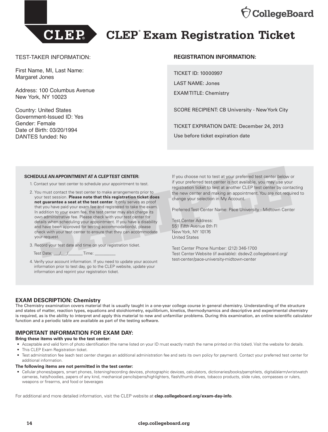



# **CLEP® Exam Registration Ticket**

#### TEST-TAKER INFORMATION:

First Name, MI, Last Name: Margaret Jones

Address: 100 Columbus Avenue New York, NY 10023

Country: United States Government-Issued ID: Yes Gender: Female Date of Birth: 03/20/1994 DANTES funded: No

#### **REGISTRATION INFORMATION:**

TICKET ID: 10000997 LAST NAME: Jones EXAM TITLE: Chemistry

SCORE RECIPIENT: CB University - New York City

TICKET EXPIRATION DATE: December 24, 2013 Use before ticket expiration date

#### **SCHEDULE AN APPOINTMENT AT A CLEP TEST CENTER:**

- 1. Contact your test center to schedule your appointment to test.
- 2. You must contact the test center to make arrangements prior to your test session. **Please note that this registration ticket does not guarantee a seat at the test center**. It only serves as proof that you have paid your exam fee and registered to take the exam. In addition to your exam fee, the test center may also charge its own administrative fee. Please check with your test center for details when scheduling your appointment. If you have a disability and have been approved for testing accommodation(s), please check with your test center to ensure that they can accommodate your request. **EDULE AN APPOINTMENT AT A CLEP TEST CENTER:** If you choose not to test at your preferred test center below Contact your test center to schedule your appointment to test. If your preferred test center is not available, you
- 3. Record your test date and time on your registration ticket.
	- Test Date:  $\frac{1}{2}$   $\frac{1}{2}$  Time:
- 4. Verify your account information. If you need to update your account information prior to test day, go to the CLEP website, update your information and reprint your registration ticket.

If you choose not to test at your preferred test center below or if your preferred test center is not available, you may use your registration ticket to test at another CLEP test center by contacting the new center and making an appointment. You are not required to change your selection in My Account.

Preferred Test Center Name: Pace University - Midtown Center

Test Center Address: 551 Fifth Avenue 8th Fl New York, NY 10176 United States

Test Center Phone Number: (212) 346-1700 Test Center Website (if available): dsdev2.collegeboard.org/ [test-center/pace-university-midtown-center](https://dsdev2.collegeboard.org/test-center/pace-university-midtown-center)

#### **EXAM DESCRIPTION: Chemistry**

The Chemistry examination covers material that is usually taught in a one-year college course in general chemistry. Understanding of the structure and states of matter, reaction types, equations and stoichiometry, equilibrium, kinetics, thermodynamics and descriptive and experimental chemistry is required, as is the ability to interpret and apply this material to new and unfamiliar problems. During this examination, an online scientific calculator function and a periodic table are available as part of the testing software.

#### **IMPORTANT INFORMATION FOR EXAM DAY:**

#### **Bring these items with you to the test center:**

- • Acceptable and valid form of photo identification (the name listed on your ID must exactly match the name printed on this ticket). Visit the website for details.
- This CLEP Exam Registration ticket.
- • Test administration fee (each test center charges an additional administration fee and sets its own policy for payment). Contact your preferred test center for additional information.

#### **The following items are not permitted in the test center:**

 • Cellular phones/pagers, smart phones, listening/recording devices, photographic devices, calculators, dictionaries/books/pamphlets, digital/alarm/wristwatch cameras, hats/hoodies, papers of any kind, mechanical pencils/pens/highlighters, flash/thumb drives, tobacco products, slide rules, compasses or rulers, weapons or firearms, and food or beverages

For additional and more detailed information, visit the CLEP website at **[clep.collegeboard.org/exam-day-info](http://clep.collegeboard.org/exam-day-info)**.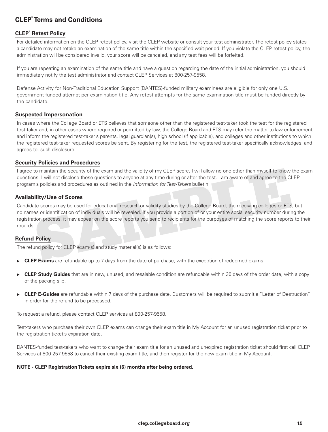## **CLEP® Terms and Conditions**

#### **CLEP® Retest Policy**

For detailed information on the CLEP retest policy, visit the CLEP website or consult your test administrator. The retest policy states a candidate may not retake an examination of the same title within the specified wait period. If you violate the CLEP retest policy, the administration will be considered invalid, your score will be canceled, and any test fees will be forfeited.

If you are repeating an examination of the same title and have a question regarding the date of the initial administration, you should immediately notify the test administrator and contact CLEP Services at 800-257-9558.

Defense Activity for Non-Traditional Education Support (DANTES)-funded military examinees are eligible for only one U.S. government-funded attempt per examination title. Any retest attempts for the same examination title must be funded directly by the candidate.

#### **Suspected Impersonation**

In cases where the College Board or ETS believes that someone other than the registered test-taker took the test for the registered test-taker and, in other cases where required or permitted by law, the College Board and ETS may refer the matter to law enforcement and inform the registered test-taker's parents, legal guardian(s), high school (if applicable), and colleges and other institutions to which the registered test-taker requested scores be sent. By registering for the test, the registered test-taker specifically acknowledges, and agrees to, such disclosure.

#### **Security Policies and Procedures**

I agree to maintain the security of the exam and the validity of my CLEP score. I will allow no one other than myself to know the exam questions. I will not disclose these questions to anyone at any time during or after the test. I am aware of and agree to the CLEP program's policies and procedures as outlined in the *Information for Test-Takers* bulletin.

#### **Availability/Use of Scores**

Candidate scores may be used for educational research or validity studies by the College Board, the receiving colleges or ETS, but no names or identification of individuals will be revealed. If you provide a portion of or your entire social security number during the registration process, it may appear on the score reports you send to recipients for the purposes of matching the score reports to their records. o maintain the security of the exam and the validity of my CLEP score. I will allow no one other than myself to know<br>S. I will not disclose these questions to anyone at any time during or after the test. I am aware of and

#### **Refund Policy**

The refund policy for CLEP exam(s) and study material(s) is as follows:

- **CLEP Exams** are refundable up to 7 days from the date of purchase, with the exception of redeemed exams.
- **CLEP Study Guides** that are in new, unused, and resalable condition are refundable within 30 days of the order date, with a copy of the packing slip.
- ► CLEP E-Guides are refundable within 7 days of the purchase date. Customers will be required to submit a "Letter of Destruction" in order for the refund to be processed.

To request a refund, please contact CLEP services at 800-257-9558.

Test-takers who purchase their own CLEP exams can change their exam title in My Account for an unused registration ticket prior to the registration ticket's expiration date.

DANTES-funded test-takers who want to change their exam title for an unused and unexpired registration ticket should first call CLEP Services at 800-257-9558 to cancel their existing exam title, and then register for the new exam title in My Account.

#### **NOTE - CLEP Registration Tickets expire six (6) months after being ordered.**